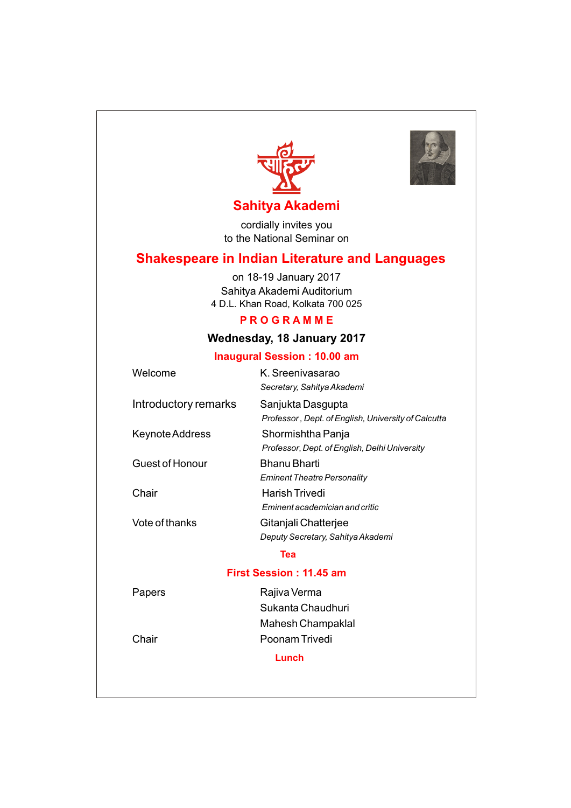



### **Sahitya Akademi**

cordially invites you to the National Seminar on

### **Shakespeare in Indian Literature and Languages**

on 18-19 January 2017 Sahitya Akademi Auditorium 4 D.L. Khan Road, Kolkata 700 025

#### **P R O G R A M M E**

#### **Wednesday, 18 January 2017**

#### **Inaugural Session : 10.00 am**

| Welcome              | K. Sreenivasarao<br>Secretary, Sahitya Akademi                           |
|----------------------|--------------------------------------------------------------------------|
| Introductory remarks | Sanjukta Dasgupta<br>Professor, Dept. of English, University of Calcutta |
| Keynote Address      | Shormishtha Panja<br>Professor, Dept. of English, Delhi University       |
| Guest of Honour      | Bhanu Bharti<br><b>Eminent Theatre Personality</b>                       |
| Chair                | <b>Harish Trivedi</b><br><b>Fminent academician and critic</b>           |
| Vote of thanks       | Gitanjali Chatterjee<br>Deputy Secretary, Sahitya Akademi                |
|                      | <b>Tea</b>                                                               |
|                      | <b>First Session: 11.45 am</b>                                           |
| Papers               | Rajiva Verma<br>Sukanta Chaudhuri<br>Mahesh Champaklal                   |
| Chair                | Poonam Trivedi<br>Lunch                                                  |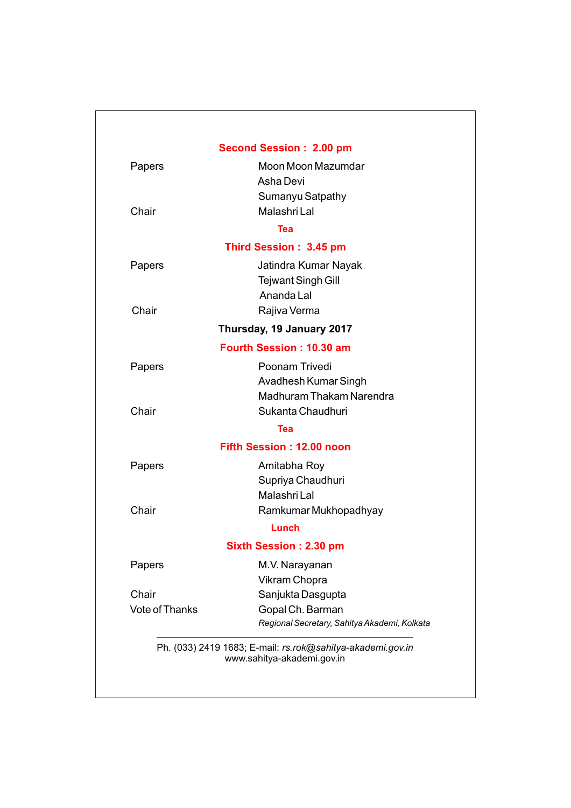| Papers                | Moon Moon Mazumdar                           |
|-----------------------|----------------------------------------------|
|                       | Asha Devi                                    |
|                       | Sumanyu Satpathy                             |
| Chair                 | Malashri Lal                                 |
|                       | <b>Tea</b>                                   |
|                       | Third Session: 3.45 pm                       |
| Papers                | Jatindra Kumar Nayak                         |
|                       | <b>Tejwant Singh Gill</b>                    |
|                       | Ananda Lal                                   |
| Chair                 | Rajiva Verma                                 |
|                       | Thursday, 19 January 2017                    |
|                       | Fourth Session: 10.30 am                     |
| Papers                | Poonam Trivedi                               |
|                       | Avadhesh Kumar Singh                         |
|                       | Madhuram Thakam Narendra                     |
| Chair                 | Sukanta Chaudhuri                            |
|                       | Tea                                          |
|                       | Fifth Session: 12.00 noon                    |
| Papers                | Amitabha Roy                                 |
|                       | Supriya Chaudhuri                            |
|                       | Malashri Lal                                 |
| Chair                 | Ramkumar Mukhopadhyay                        |
|                       | Lunch                                        |
|                       | <b>Sixth Session: 2.30 pm</b>                |
| Papers                | M.V. Narayanan                               |
|                       | Vikram Chopra                                |
| Chair                 | Sanjukta Dasgupta                            |
| <b>Vote of Thanks</b> | Gopal Ch. Barman                             |
|                       | Regional Secretary, Sahitya Akademi, Kolkata |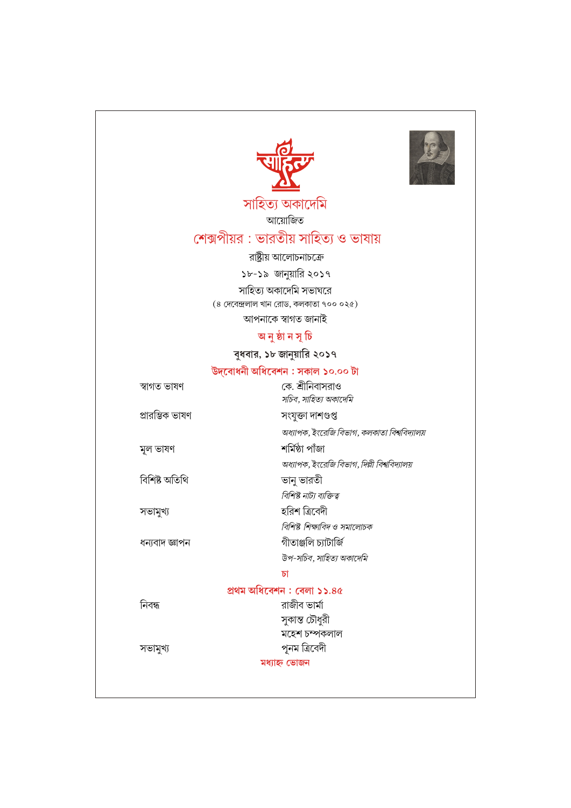



সাহিত্য অকাদেমি

আয়োজিত

## শেক্সপীয়র : ভারতীয় সাহিত্য ও ভাষায়

রাষ্ট্রীয় আলোচনাচক্রে

১৮-১৯ জানুয়ারি ২০১৭

সাহিত্য অকাদেমি সভাঘরে  $(8 \text{ (rcteven)} \text{ m})$  থান রোড, কলকাতা ৭০০ ০২৫)

আপনাকে স্বাগত জানাই

# অ নুষ্ঠা ন সূ চি

বুধবার, ১৮ জানুয়ারি ২০১৭

উদ্বোধনী অধিবেশন : সকাল ১০.০০ টা

| স্বাগত ভাষণ     | কে. শ্রীনিবাসরাও                             |
|-----------------|----------------------------------------------|
|                 | সচিব, সাহিত্য অকাদেমি                        |
| প্ৰারম্ভিক ভাষণ | সংযুক্তা দাশগুপ্ত                            |
|                 | অধ্যাপক, ইংরেজি বিভাগ, কলকাতা বিশ্ববিদ্যালয় |
| মুল ভাষণ        | শৰ্মিষ্ঠা পাঁজা                              |
|                 | অধ্যাপক, ইংরেজি বিভাগ, দিল্লী বিশ্ববিদ্যালয় |
| বিশিষ্ট অতিথি   | ভানু ভারতী                                   |
|                 | বিশিষ্ট নাট্য ব্যক্তিত্ব                     |
| সভামুখ্য        | হরিশ ত্রিবেদী                                |
|                 | বিশিষ্ট শিক্ষাবিদ ও সমালোচক                  |
| ধন্যবাদ জ্ঞাপন  | গীতাঞ্জলি চ্যাটাৰ্জি                         |
|                 | উপ-সচিব, সাহিত্য অকাদেমি                     |
|                 | চা                                           |
|                 | প্ৰথম অধিবেশন : বেলা ১১.৪৫                   |
| নিবন্ধ          | রাজীব ভার্মা                                 |
|                 | সুকান্ত চৌধুরী                               |
|                 |                                              |

সভামুখ্য

মহেশ চম্পকলাল পূনম ত্ৰিবেদী

মধ্যাহ্ন ভোজন